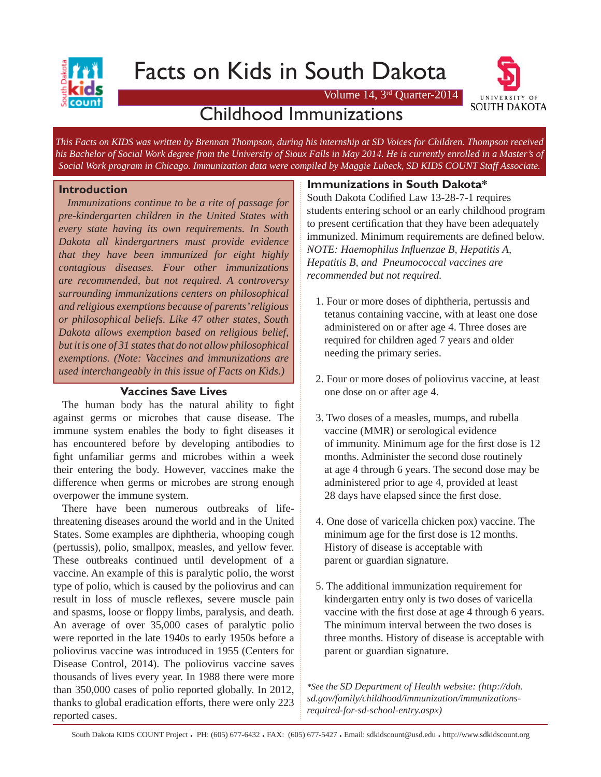

# Facts on Kids in South Dakota

Volume 14, 3rd Quarter-2014



## Childhood Immunizations

*This Facts on KIDS was written by Brennan Thompson, during his internship at SD Voices for Children. Thompson received his Bachelor of Social Work degree from the University of Sioux Falls in May 2014. He is currently enrolled in a Master's of Social Work program in Chicago. Immunization data were compiled by Maggie Lubeck, SD KIDS COUNT Staff Associate.*

#### **Introduction**

 *Immunizations continue to be a rite of passage for pre-kindergarten children in the United States with every state having its own requirements. In South Dakota all kindergartners must provide evidence that they have been immunized for eight highly contagious diseases. Four other immunizations are recommended, but not required. A controversy surrounding immunizations centers on philosophical and religious exemptions because of parents' religious or philosophical beliefs. Like 47 other states, South Dakota allows exemption based on religious belief, but it is one of 31 states that do not allow philosophical exemptions. (Note: Vaccines and immunizations are used interchangeably in this issue of Facts on Kids.)*

#### **Vaccines Save Lives**

The human body has the natural ability to fight against germs or microbes that cause disease. The immune system enables the body to fight diseases it has encountered before by developing antibodies to fight unfamiliar germs and microbes within a week their entering the body. However, vaccines make the difference when germs or microbes are strong enough overpower the immune system.

 There have been numerous outbreaks of lifethreatening diseases around the world and in the United States. Some examples are diphtheria, whooping cough (pertussis), polio, smallpox, measles, and yellow fever. These outbreaks continued until development of a vaccine. An example of this is paralytic polio, the worst type of polio, which is caused by the poliovirus and can result in loss of muscle reflexes, severe muscle pain and spasms, loose or floppy limbs, paralysis, and death. An average of over 35,000 cases of paralytic polio were reported in the late 1940s to early 1950s before a poliovirus vaccine was introduced in 1955 (Centers for Disease Control, 2014). The poliovirus vaccine saves thousands of lives every year. In 1988 there were more than 350,000 cases of polio reported globally. In 2012, thanks to global eradication efforts, there were only 223 reported cases.

#### **Immunizations in South Dakota\***

South Dakota Codified Law 13-28-7-1 requires students entering school or an early childhood program to present certification that they have been adequately immunized. Minimum requirements are defined below. *NOTE: Haemophilus Infl uenzae B, Hepatitis A, Hepatitis B, and Pneumococcal vaccines are recommended but not required.*

- 1. Four or more doses of diphtheria, pertussis and tetanus containing vaccine, with at least one dose administered on or after age 4. Three doses are required for children aged 7 years and older needing the primary series.
- 2. Four or more doses of poliovirus vaccine, at least one dose on or after age 4.
- 3. Two doses of a measles, mumps, and rubella vaccine (MMR) or serological evidence of immunity. Minimum age for the first dose is 12 months. Administer the second dose routinely at age 4 through 6 years. The second dose may be administered prior to age 4, provided at least 28 days have elapsed since the first dose.
- 4. One dose of varicella chicken pox) vaccine. The minimum age for the first dose is 12 months. History of disease is acceptable with parent or guardian signature.
- 5. The additional immunization requirement for kindergarten entry only is two doses of varicella vaccine with the first dose at age 4 through 6 years. The minimum interval between the two doses is three months. History of disease is acceptable with parent or guardian signature.

*\*See the SD Department of Health website: (http://doh. sd.gov/family/childhood/immunization/immunizationsrequired-for-sd-school-entry.aspx)*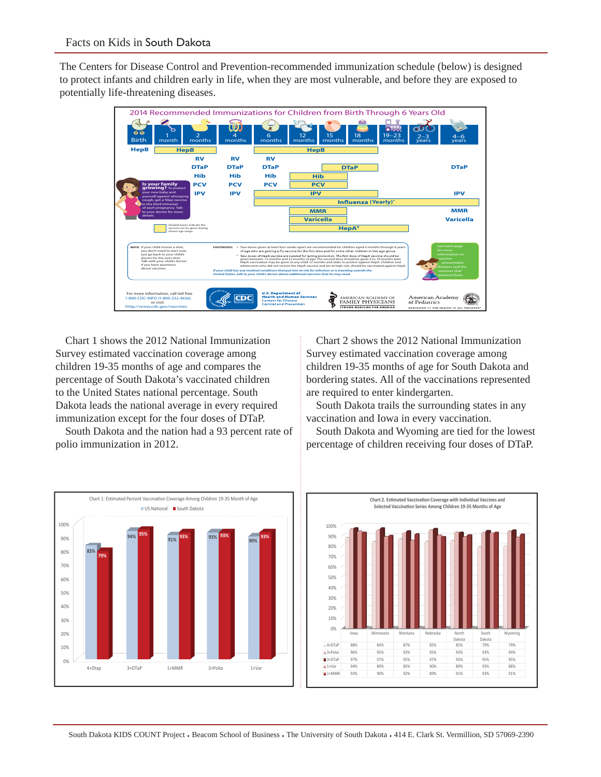The Centers for Disease Control and Prevention-recommended immunization schedule (below) is designed to protect infants and children early in life, when they are most vulnerable, and before they are exposed to potentially life-threatening diseases.



 Chart 1 shows the 2012 National Immunization Survey estimated vaccination coverage among children 19-35 months of age and compares the percentage of South Dakota's vaccinated children to the United States national percentage. South Dakota leads the national average in every required immunization except for the four doses of DTaP.

 South Dakota and the nation had a 93 percent rate of polio immunization in 2012.

 Chart 2 shows the 2012 National Immunization Survey estimated vaccination coverage among children 19-35 months of age for South Dakota and bordering states. All of the vaccinations represented are required to enter kindergarten.

 South Dakota trails the surrounding states in any vaccination and Iowa in every vaccination.

 South Dakota and Wyoming are tied for the lowest percentage of children receiving four doses of DTaP.



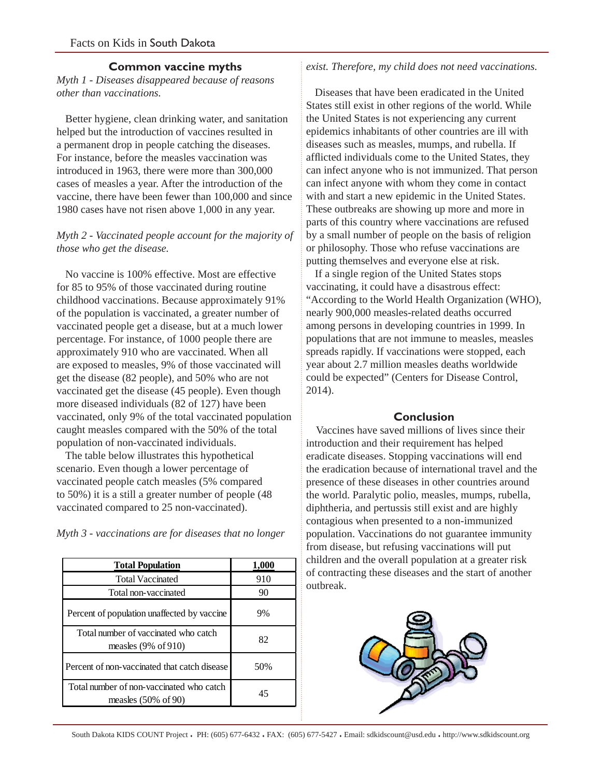### **Common vaccine myths**

#### *Myth 1 - Diseases disappeared because of reasons other than vaccinations.*

Better hygiene, clean drinking water, and sanitation helped but the introduction of vaccines resulted in a permanent drop in people catching the diseases. For instance, before the measles vaccination was introduced in 1963, there were more than 300,000 cases of measles a year. After the introduction of the vaccine, there have been fewer than 100,000 and since 1980 cases have not risen above 1,000 in any year.

### *Myth 2 - Vaccinated people account for the majority of those who get the disease.*

No vaccine is 100% effective. Most are effective for 85 to 95% of those vaccinated during routine childhood vaccinations. Because approximately 91% of the population is vaccinated, a greater number of vaccinated people get a disease, but at a much lower percentage. For instance, of 1000 people there are approximately 910 who are vaccinated. When all are exposed to measles, 9% of those vaccinated will get the disease (82 people), and 50% who are not vaccinated get the disease (45 people). Even though more diseased individuals (82 of 127) have been vaccinated, only 9% of the total vaccinated population caught measles compared with the 50% of the total population of non-vaccinated individuals.

 The table below illustrates this hypothetical scenario. Even though a lower percentage of vaccinated people catch measles (5% compared to 50%) it is a still a greater number of people (48 vaccinated compared to 25 non-vaccinated).

*Myth 3 - vaccinations are for diseases that no longer* 

| 1,000 |
|-------|
| 910   |
| 90    |
| 9%    |
| 82    |
| 50%   |
| 45    |
|       |

## *exist. Therefore, my child does not need vaccinations.*

 Diseases that have been eradicated in the United States still exist in other regions of the world. While the United States is not experiencing any current epidemics inhabitants of other countries are ill with diseases such as measles, mumps, and rubella. If afflicted individuals come to the United States, they can infect anyone who is not immunized. That person can infect anyone with whom they come in contact with and start a new epidemic in the United States. These outbreaks are showing up more and more in parts of this country where vaccinations are refused by a small number of people on the basis of religion or philosophy. Those who refuse vaccinations are putting themselves and everyone else at risk.

 If a single region of the United States stops vaccinating, it could have a disastrous effect: "According to the World Health Organization (WHO), nearly 900,000 measles-related deaths occurred among persons in developing countries in 1999. In populations that are not immune to measles, measles spreads rapidly. If vaccinations were stopped, each year about 2.7 million measles deaths worldwide could be expected" (Centers for Disease Control, 2014).

#### **Conclusion**

 Vaccines have saved millions of lives since their introduction and their requirement has helped eradicate diseases. Stopping vaccinations will end the eradication because of international travel and the presence of these diseases in other countries around the world. Paralytic polio, measles, mumps, rubella, diphtheria, and pertussis still exist and are highly contagious when presented to a non-immunized population. Vaccinations do not guarantee immunity from disease, but refusing vaccinations will put children and the overall population at a greater risk of contracting these diseases and the start of another outbreak.